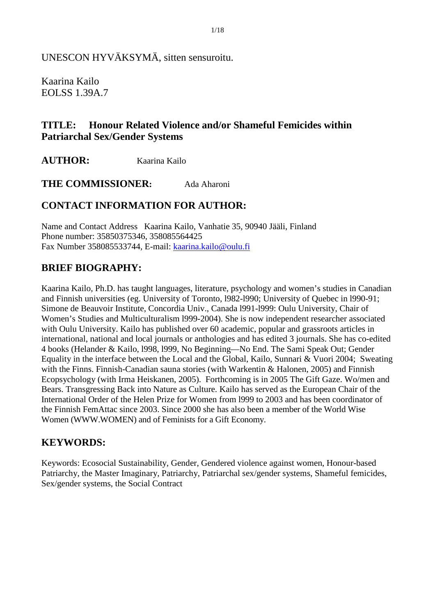UNESCON HYVÄKSYMÄ, sitten sensuroitu.

Kaarina Kailo EOLSS 1.39A.7

# **TITLE: Honour Related Violence and/or Shameful Femicides within Patriarchal Sex/Gender Systems**

**AUTHOR:** Kaarina Kailo

**THE COMMISSIONER:** Ada Aharoni

## **CONTACT INFORMATION FOR AUTHOR:**

Name and Contact Address Kaarina Kailo, Vanhatie 35, 90940 Jääli, Finland Phone number: 35850375346, 358085564425 Fax Number 358085533744, E-mail: kaarina.kailo@oulu.fi

## **BRIEF BIOGRAPHY:**

Kaarina Kailo, Ph.D. has taught languages, literature, psychology and women's studies in Canadian and Finnish universities (eg. University of Toronto, l982-l990; University of Quebec in l990-91; Simone de Beauvoir Institute, Concordia Univ., Canada l991-l999: Oulu University, Chair of Women's Studies and Multiculturalism l999-2004). She is now independent researcher associated with Oulu University. Kailo has published over 60 academic, popular and grassroots articles in international, national and local journals or anthologies and has edited 3 journals. She has co-edited 4 books (Helander & Kailo, l998, l999, No Beginning—No End. The Sami Speak Out; Gender Equality in the interface between the Local and the Global, Kailo, Sunnari & Vuori 2004; Sweating with the Finns. Finnish-Canadian sauna stories (with Warkentin & Halonen, 2005) and Finnish Ecopsychology (with Irma Heiskanen, 2005). Forthcoming is in 2005 The Gift Gaze. Wo/men and Bears. Transgressing Back into Nature as Culture. Kailo has served as the European Chair of the International Order of the Helen Prize for Women from l999 to 2003 and has been coordinator of the Finnish FemAttac since 2003. Since 2000 she has also been a member of the World Wise Women (WWW.WOMEN) and of Feminists for a Gift Economy.

## **KEYWORDS:**

Keywords: Ecosocial Sustainability, Gender, Gendered violence against women, Honour-based Patriarchy, the Master Imaginary, Patriarchy, Patriarchal sex/gender systems, Shameful femicides, Sex/gender systems, the Social Contract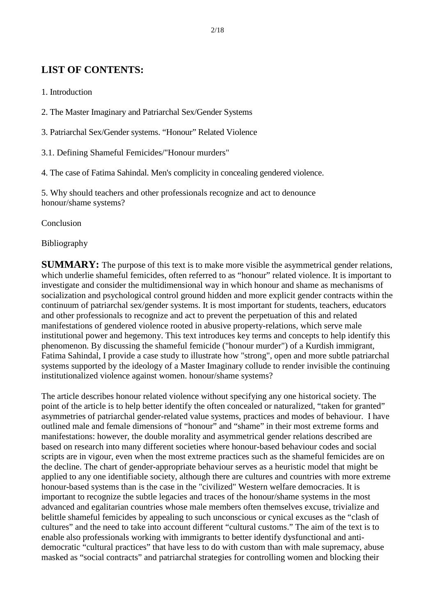# **LIST OF CONTENTS:**

- 1. Introduction
- 2. The Master Imaginary and Patriarchal Sex/Gender Systems
- 3. Patriarchal Sex/Gender systems. "Honour" Related Violence
- 3.1. Defining Shameful Femicides/"Honour murders"
- 4. The case of Fatima Sahindal. Men's complicity in concealing gendered violence.

5. Why should teachers and other professionals recognize and act to denounce honour/shame systems?

Conclusion

Bibliography

**SUMMARY:** The purpose of this text is to make more visible the asymmetrical gender relations, which underlie shameful femicides, often referred to as "honour" related violence. It is important to investigate and consider the multidimensional way in which honour and shame as mechanisms of socialization and psychological control ground hidden and more explicit gender contracts within the continuum of patriarchal sex/gender systems. It is most important for students, teachers, educators and other professionals to recognize and act to prevent the perpetuation of this and related manifestations of gendered violence rooted in abusive property-relations, which serve male institutional power and hegemony. This text introduces key terms and concepts to help identify this phenomenon. By discussing the shameful femicide ("honour murder") of a Kurdish immigrant, Fatima Sahindal, I provide a case study to illustrate how "strong", open and more subtle patriarchal systems supported by the ideology of a Master Imaginary collude to render invisible the continuing institutionalized violence against women. honour/shame systems?

The article describes honour related violence without specifying any one historical society. The point of the article is to help better identify the often concealed or naturalized, "taken for granted" asymmetries of patriarchal gender-related value systems, practices and modes of behaviour. I have outlined male and female dimensions of "honour" and "shame" in their most extreme forms and manifestations: however, the double morality and asymmetrical gender relations described are based on research into many different societies where honour-based behaviour codes and social scripts are in vigour, even when the most extreme practices such as the shameful femicides are on the decline. The chart of gender-appropriate behaviour serves as a heuristic model that might be applied to any one identifiable society, although there are cultures and countries with more extreme honour-based systems than is the case in the "civilized" Western welfare democracies. It is important to recognize the subtle legacies and traces of the honour/shame systems in the most advanced and egalitarian countries whose male members often themselves excuse, trivialize and belittle shameful femicides by appealing to such unconscious or cynical excuses as the "clash of cultures" and the need to take into account different "cultural customs." The aim of the text is to enable also professionals working with immigrants to better identify dysfunctional and antidemocratic "cultural practices" that have less to do with custom than with male supremacy, abuse masked as "social contracts" and patriarchal strategies for controlling women and blocking their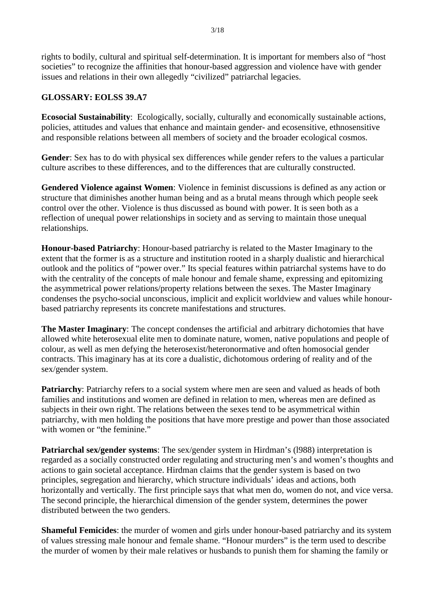rights to bodily, cultural and spiritual self-determination. It is important for members also of "host societies" to recognize the affinities that honour-based aggression and violence have with gender issues and relations in their own allegedly "civilized" patriarchal legacies.

## **GLOSSARY: EOLSS 39.A7**

**Ecosocial Sustainability**: Ecologically, socially, culturally and economically sustainable actions, policies, attitudes and values that enhance and maintain gender- and ecosensitive, ethnosensitive and responsible relations between all members of society and the broader ecological cosmos.

**Gender**: Sex has to do with physical sex differences while gender refers to the values a particular culture ascribes to these differences, and to the differences that are culturally constructed.

**Gendered Violence against Women**: Violence in feminist discussions is defined as any action or structure that diminishes another human being and as a brutal means through which people seek control over the other. Violence is thus discussed as bound with power. It is seen both as a reflection of unequal power relationships in society and as serving to maintain those unequal relationships.

**Honour-based Patriarchy**: Honour-based patriarchy is related to the Master Imaginary to the extent that the former is as a structure and institution rooted in a sharply dualistic and hierarchical outlook and the politics of "power over." Its special features within patriarchal systems have to do with the centrality of the concepts of male honour and female shame, expressing and epitomizing the asymmetrical power relations/property relations between the sexes. The Master Imaginary condenses the psycho-social unconscious, implicit and explicit worldview and values while honourbased patriarchy represents its concrete manifestations and structures.

**The Master Imaginary**: The concept condenses the artificial and arbitrary dichotomies that have allowed white heterosexual elite men to dominate nature, women, native populations and people of colour, as well as men defying the heterosexist/heteronormative and often homosocial gender contracts. This imaginary has at its core a dualistic, dichotomous ordering of reality and of the sex/gender system.

**Patriarchy:** Patriarchy refers to a social system where men are seen and valued as heads of both families and institutions and women are defined in relation to men, whereas men are defined as subjects in their own right. The relations between the sexes tend to be asymmetrical within patriarchy, with men holding the positions that have more prestige and power than those associated with women or "the feminine."

**Patriarchal sex/gender systems**: The sex/gender system in Hirdman's (l988) interpretation is regarded as a socially constructed order regulating and structuring men's and women's thoughts and actions to gain societal acceptance. Hirdman claims that the gender system is based on two principles, segregation and hierarchy, which structure individuals' ideas and actions, both horizontally and vertically. The first principle says that what men do, women do not, and vice versa. The second principle, the hierarchical dimension of the gender system, determines the power distributed between the two genders.

**Shameful Femicides**: the murder of women and girls under honour-based patriarchy and its system of values stressing male honour and female shame. "Honour murders" is the term used to describe the murder of women by their male relatives or husbands to punish them for shaming the family or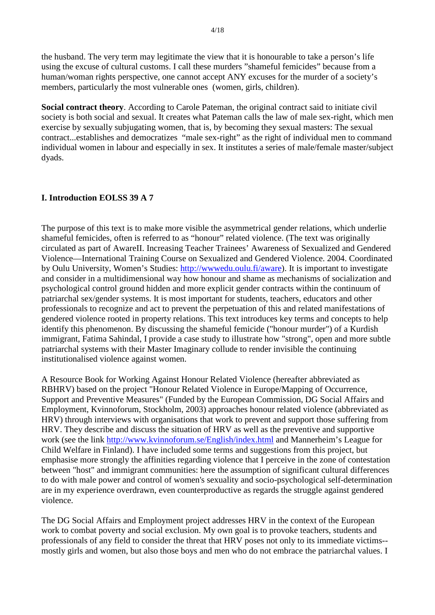the husband. The very term may legitimate the view that it is honourable to take a person's life using the excuse of cultural customs. I call these murders "shameful femicides" because from a human/woman rights perspective, one cannot accept ANY excuses for the murder of a society's members, particularly the most vulnerable ones (women, girls, children).

**Social contract theory**. According to Carole Pateman, the original contract said to initiate civil society is both social and sexual. It creates what Pateman calls the law of male sex-right, which men exercise by sexually subjugating women, that is, by becoming they sexual masters: The sexual contract...establishes and democratizes "male sex-right" as the right of individual men to command individual women in labour and especially in sex. It institutes a series of male/female master/subject dyads.

## **I. Introduction EOLSS 39 A 7**

The purpose of this text is to make more visible the asymmetrical gender relations, which underlie shameful femicides, often is referred to as "honour" related violence. (The text was originally circulated as part of AwareII. Increasing Teacher Trainees' Awareness of Sexualized and Gendered Violence—International Training Course on Sexualized and Gendered Violence. 2004. Coordinated by Oulu University, Women's Studies: http://wwwedu.oulu.fi/aware). It is important to investigate and consider in a multidimensional way how honour and shame as mechanisms of socialization and psychological control ground hidden and more explicit gender contracts within the continuum of patriarchal sex/gender systems. It is most important for students, teachers, educators and other professionals to recognize and act to prevent the perpetuation of this and related manifestations of gendered violence rooted in property relations. This text introduces key terms and concepts to help identify this phenomenon. By discussing the shameful femicide ("honour murder") of a Kurdish immigrant, Fatima Sahindal, I provide a case study to illustrate how "strong", open and more subtle patriarchal systems with their Master Imaginary collude to render invisible the continuing institutionalised violence against women.

A Resource Book for Working Against Honour Related Violence (hereafter abbreviated as RBHRV) based on the project "Honour Related Violence in Europe/Mapping of Occurrence, Support and Preventive Measures" (Funded by the European Commission, DG Social Affairs and Employment, Kvinnoforum, Stockholm, 2003) approaches honour related violence (abbreviated as HRV) through interviews with organisations that work to prevent and support those suffering from HRV. They describe and discuss the situation of HRV as well as the preventive and supportive work (see the link http://www.kvinnoforum.se/English/index.html and Mannerheim's League for Child Welfare in Finland). I have included some terms and suggestions from this project, but emphasise more strongly the affinities regarding violence that I perceive in the zone of contestation between "host" and immigrant communities: here the assumption of significant cultural differences to do with male power and control of women's sexuality and socio-psychological self-determination are in my experience overdrawn, even counterproductive as regards the struggle against gendered violence.

The DG Social Affairs and Employment project addresses HRV in the context of the European work to combat poverty and social exclusion. My own goal is to provoke teachers, students and professionals of any field to consider the threat that HRV poses not only to its immediate victims- mostly girls and women, but also those boys and men who do not embrace the patriarchal values. I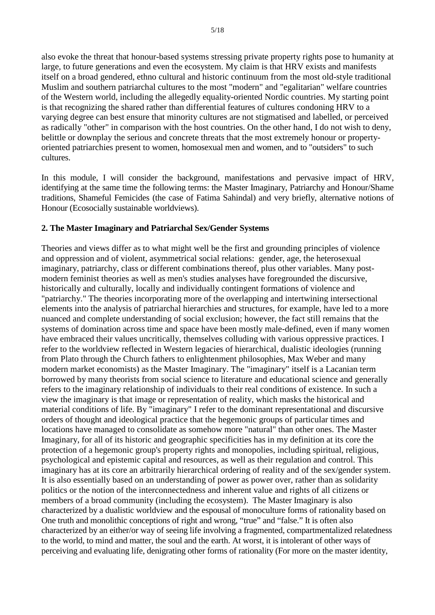also evoke the threat that honour-based systems stressing private property rights pose to humanity at large, to future generations and even the ecosystem. My claim is that HRV exists and manifests itself on a broad gendered, ethno cultural and historic continuum from the most old-style traditional Muslim and southern patriarchal cultures to the most "modern" and "egalitarian" welfare countries of the Western world, including the allegedly equality-oriented Nordic countries. My starting point is that recognizing the shared rather than differential features of cultures condoning HRV to a varying degree can best ensure that minority cultures are not stigmatised and labelled, or perceived as radically "other" in comparison with the host countries. On the other hand, I do not wish to deny, belittle or downplay the serious and concrete threats that the most extremely honour or propertyoriented patriarchies present to women, homosexual men and women, and to "outsiders" to such cultures.

In this module, I will consider the background, manifestations and pervasive impact of HRV, identifying at the same time the following terms: the Master Imaginary, Patriarchy and Honour/Shame traditions, Shameful Femicides (the case of Fatima Sahindal) and very briefly, alternative notions of Honour (Ecosocially sustainable worldviews).

## **2. The Master Imaginary and Patriarchal Sex/Gender Systems**

Theories and views differ as to what might well be the first and grounding principles of violence and oppression and of violent, asymmetrical social relations: gender, age, the heterosexual imaginary, patriarchy, class or different combinations thereof, plus other variables. Many postmodern feminist theories as well as men's studies analyses have foregrounded the discursive, historically and culturally, locally and individually contingent formations of violence and "patriarchy." The theories incorporating more of the overlapping and intertwining intersectional elements into the analysis of patriarchal hierarchies and structures, for example, have led to a more nuanced and complete understanding of social exclusion; however, the fact still remains that the systems of domination across time and space have been mostly male-defined, even if many women have embraced their values uncritically, themselves colluding with various oppressive practices. I refer to the worldview reflected in Western legacies of hierarchical, dualistic ideologies (running from Plato through the Church fathers to enlightenment philosophies, Max Weber and many modern market economists) as the Master Imaginary. The "imaginary" itself is a Lacanian term borrowed by many theorists from social science to literature and educational science and generally refers to the imaginary relationship of individuals to their real conditions of existence. In such a view the imaginary is that image or representation of reality, which masks the historical and material conditions of life. By "imaginary" I refer to the dominant representational and discursive orders of thought and ideological practice that the hegemonic groups of particular times and locations have managed to consolidate as somehow more "natural" than other ones. The Master Imaginary, for all of its historic and geographic specificities has in my definition at its core the protection of a hegemonic group's property rights and monopolies, including spiritual, religious, psychological and epistemic capital and resources, as well as their regulation and control. This imaginary has at its core an arbitrarily hierarchical ordering of reality and of the sex/gender system. It is also essentially based on an understanding of power as power over, rather than as solidarity politics or the notion of the interconnectedness and inherent value and rights of all citizens or members of a broad community (including the ecosystem). The Master Imaginary is also characterized by a dualistic worldview and the espousal of monoculture forms of rationality based on One truth and monolithic conceptions of right and wrong, "true" and "false." It is often also characterized by an either/or way of seeing life involving a fragmented, compartmentalized relatedness to the world, to mind and matter, the soul and the earth. At worst, it is intolerant of other ways of perceiving and evaluating life, denigrating other forms of rationality (For more on the master identity,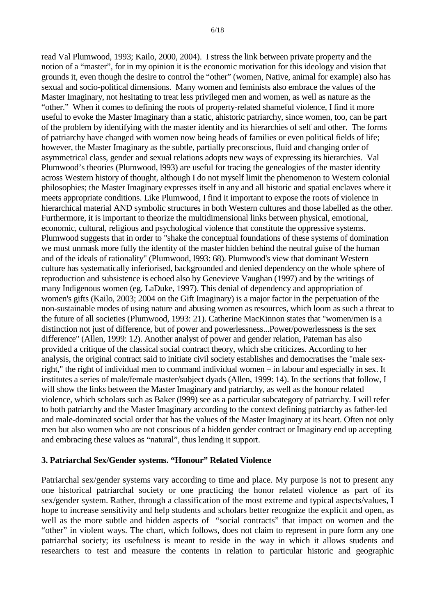read Val Plumwood, 1993; Kailo, 2000, 2004). I stress the link between private property and the notion of a "master", for in my opinion it is the economic motivation for this ideology and vision that grounds it, even though the desire to control the "other" (women, Native, animal for example) also has sexual and socio-political dimensions. Many women and feminists also embrace the values of the Master Imaginary, not hesitating to treat less privileged men and women, as well as nature as the "other." When it comes to defining the roots of property-related shameful violence, I find it more useful to evoke the Master Imaginary than a static, ahistoric patriarchy, since women, too, can be part of the problem by identifying with the master identity and its hierarchies of self and other. The forms of patriarchy have changed with women now being heads of families or even political fields of life; however, the Master Imaginary as the subtle, partially preconscious, fluid and changing order of asymmetrical class, gender and sexual relations adopts new ways of expressing its hierarchies. Val Plumwood's theories (Plumwood, l993) are useful for tracing the genealogies of the master identity across Western history of thought, although I do not myself limit the phenomenon to Western colonial philosophies; the Master Imaginary expresses itself in any and all historic and spatial enclaves where it meets appropriate conditions. Like Plumwood, I find it important to expose the roots of violence in hierarchical material AND symbolic structures in both Western cultures and those labelled as the other. Furthermore, it is important to theorize the multidimensional links between physical, emotional, economic, cultural, religious and psychological violence that constitute the oppressive systems. Plumwood suggests that in order to "shake the conceptual foundations of these systems of domination we must unmask more fully the identity of the master hidden behind the neutral guise of the human and of the ideals of rationality" (Plumwood, l993: 68). Plumwood's view that dominant Western culture has systematically inferiorised, backgrounded and denied dependency on the whole sphere of reproduction and subsistence is echoed also by Genevieve Vaughan (1997) and by the writings of many Indigenous women (eg. LaDuke, 1997). This denial of dependency and appropriation of women's gifts (Kailo, 2003; 2004 on the Gift Imaginary) is a major factor in the perpetuation of the non-sustainable modes of using nature and abusing women as resources, which loom as such a threat to the future of all societies (Plumwood, 1993: 21). Catherine MacKinnon states that "women/men is a distinction not just of difference, but of power and powerlessness...Power/powerlessness is the sex difference" (Allen, 1999: 12). Another analyst of power and gender relation, Pateman has also provided a critique of the classical social contract theory, which she criticizes. According to her analysis, the original contract said to initiate civil society establishes and democratises the "male sexright," the right of individual men to command individual women – in labour and especially in sex. It institutes a series of male/female master/subject dyads (Allen, 1999: 14). In the sections that follow, I will show the links between the Master Imaginary and patriarchy, as well as the honour related violence, which scholars such as Baker (l999) see as a particular subcategory of patriarchy. I will refer to both patriarchy and the Master Imaginary according to the context defining patriarchy as father-led and male-dominated social order that has the values of the Master Imaginary at its heart. Often not only men but also women who are not conscious of a hidden gender contract or Imaginary end up accepting and embracing these values as "natural", thus lending it support.

## **3. Patriarchal Sex/Gender systems. "Honour" Related Violence**

Patriarchal sex/gender systems vary according to time and place. My purpose is not to present any one historical patriarchal society or one practicing the honor related violence as part of its sex/gender system. Rather, through a classification of the most extreme and typical aspects/values, I hope to increase sensitivity and help students and scholars better recognize the explicit and open, as well as the more subtle and hidden aspects of "social contracts" that impact on women and the "other" in violent ways. The chart, which follows, does not claim to represent in pure form any one patriarchal society; its usefulness is meant to reside in the way in which it allows students and researchers to test and measure the contents in relation to particular historic and geographic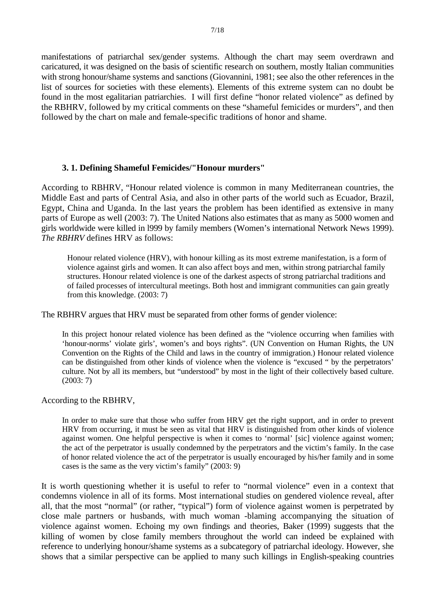manifestations of patriarchal sex/gender systems. Although the chart may seem overdrawn and caricatured, it was designed on the basis of scientific research on southern, mostly Italian communities with strong honour/shame systems and sanctions (Giovannini, 1981; see also the other references in the list of sources for societies with these elements). Elements of this extreme system can no doubt be found in the most egalitarian patriarchies. I will first define "honor related violence" as defined by the RBHRV, followed by my critical comments on these "shameful femicides or murders", and then followed by the chart on male and female-specific traditions of honor and shame.

### **3. 1. Defining Shameful Femicides/"Honour murders"**

According to RBHRV, "Honour related violence is common in many Mediterranean countries, the Middle East and parts of Central Asia, and also in other parts of the world such as Ecuador, Brazil, Egypt, China and Uganda. In the last years the problem has been identified as extensive in many parts of Europe as well (2003: 7). The United Nations also estimates that as many as 5000 women and girls worldwide were killed in l999 by family members (Women's international Network News 1999). *The RBHRV* defines HRV as follows:

Honour related violence (HRV), with honour killing as its most extreme manifestation, is a form of violence against girls and women. It can also affect boys and men, within strong patriarchal family structures. Honour related violence is one of the darkest aspects of strong patriarchal traditions and of failed processes of intercultural meetings. Both host and immigrant communities can gain greatly from this knowledge. (2003: 7)

The RBHRV argues that HRV must be separated from other forms of gender violence:

In this project honour related violence has been defined as the "violence occurring when families with 'honour-norms' violate girls', women's and boys rights". (UN Convention on Human Rights, the UN Convention on the Rights of the Child and laws in the country of immigration.) Honour related violence can be distinguished from other kinds of violence when the violence is "excused " by the perpetrators' culture. Not by all its members, but "understood" by most in the light of their collectively based culture. (2003: 7)

According to the RBHRV,

In order to make sure that those who suffer from HRV get the right support, and in order to prevent HRV from occurring, it must be seen as vital that HRV is distinguished from other kinds of violence against women. One helpful perspective is when it comes to 'normal' [sic] violence against women; the act of the perpetrator is usually condemned by the perpetrators and the victim's family. In the case of honor related violence the act of the perpetrator is usually encouraged by his/her family and in some cases is the same as the very victim's family" (2003: 9)

It is worth questioning whether it is useful to refer to "normal violence" even in a context that condemns violence in all of its forms. Most international studies on gendered violence reveal, after all, that the most "normal" (or rather, "typical") form of violence against women is perpetrated by close male partners or husbands, with much woman -blaming accompanying the situation of violence against women. Echoing my own findings and theories, Baker (1999) suggests that the killing of women by close family members throughout the world can indeed be explained with reference to underlying honour/shame systems as a subcategory of patriarchal ideology. However, she shows that a similar perspective can be applied to many such killings in English-speaking countries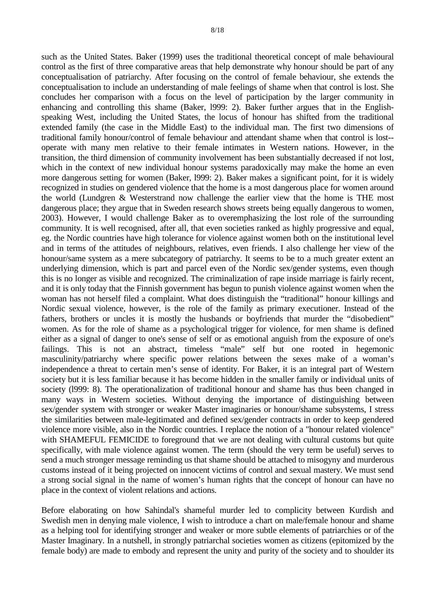such as the United States. Baker (1999) uses the traditional theoretical concept of male behavioural control as the first of three comparative areas that help demonstrate why honour should be part of any conceptualisation of patriarchy. After focusing on the control of female behaviour, she extends the conceptualisation to include an understanding of male feelings of shame when that control is lost. She concludes her comparison with a focus on the level of participation by the larger community in enhancing and controlling this shame (Baker, l999: 2). Baker further argues that in the Englishspeaking West, including the United States, the locus of honour has shifted from the traditional extended family (the case in the Middle East) to the individual man. The first two dimensions of traditional family honour/control of female behaviour and attendant shame when that control is lost- operate with many men relative to their female intimates in Western nations. However, in the transition, the third dimension of community involvement has been substantially decreased if not lost, which in the context of new individual honour systems paradoxically may make the home an even more dangerous setting for women (Baker, l999: 2). Baker makes a significant point, for it is widely recognized in studies on gendered violence that the home is a most dangerous place for women around the world (Lundgren & Westerstrand now challenge the earlier view that the home is THE most dangerous place; they argue that in Sweden research shows streets being equally dangerous to women, 2003). However, I would challenge Baker as to overemphasizing the lost role of the surrounding community. It is well recognised, after all, that even societies ranked as highly progressive and equal, eg. the Nordic countries have high tolerance for violence against women both on the institutional level and in terms of the attitudes of neighbours, relatives, even friends. I also challenge her view of the honour/same system as a mere subcategory of patriarchy. It seems to be to a much greater extent an underlying dimension, which is part and parcel even of the Nordic sex/gender systems, even though this is no longer as visible and recognized. The criminalization of rape inside marriage is fairly recent, and it is only today that the Finnish government has begun to punish violence against women when the woman has not herself filed a complaint. What does distinguish the "traditional" honour killings and Nordic sexual violence, however, is the role of the family as primary executioner. Instead of the fathers, brothers or uncles it is mostly the husbands or boyfriends that murder the "disobedient" women. As for the role of shame as a psychological trigger for violence, for men shame is defined either as a signal of danger to one's sense of self or as emotional anguish from the exposure of one's failings. This is not an abstract, timeless "male" self but one rooted in hegemonic masculinity/patriarchy where specific power relations between the sexes make of a woman's independence a threat to certain men's sense of identity. For Baker, it is an integral part of Western society but it is less familiar because it has become hidden in the smaller family or individual units of society (l999: 8). The operationalization of traditional honour and shame has thus been changed in many ways in Western societies. Without denying the importance of distinguishing between sex/gender system with stronger or weaker Master imaginaries or honour/shame subsystems, I stress the similarities between male-legitimated and defined sex/gender contracts in order to keep gendered violence more visible, also in the Nordic countries. I replace the notion of a "honour related violence" with SHAMEFUL FEMICIDE to foreground that we are not dealing with cultural customs but quite specifically, with male violence against women. The term (should the very term be useful) serves to send a much stronger message reminding us that shame should be attached to misogyny and murderous customs instead of it being projected on innocent victims of control and sexual mastery. We must send a strong social signal in the name of women's human rights that the concept of honour can have no place in the context of violent relations and actions.

Before elaborating on how Sahindal's shameful murder led to complicity between Kurdish and Swedish men in denying male violence, I wish to introduce a chart on male/female honour and shame as a helping tool for identifying stronger and weaker or more subtle elements of patriarchies or of the Master Imaginary. In a nutshell, in strongly patriarchal societies women as citizens (epitomized by the female body) are made to embody and represent the unity and purity of the society and to shoulder its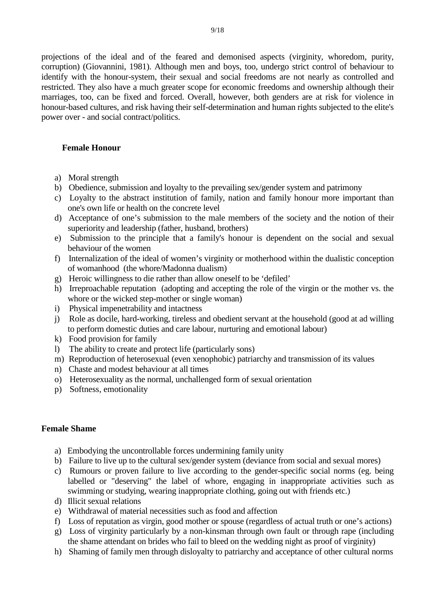projections of the ideal and of the feared and demonised aspects (virginity, whoredom, purity, corruption) (Giovannini, 1981). Although men and boys, too, undergo strict control of behaviour to identify with the honour-system, their sexual and social freedoms are not nearly as controlled and restricted. They also have a much greater scope for economic freedoms and ownership although their marriages, too, can be fixed and forced. Overall, however, both genders are at risk for violence in honour-based cultures, and risk having their self-determination and human rights subjected to the elite's power over - and social contract/politics.

### **Female Honour**

- a) Moral strength
- b) Obedience, submission and loyalty to the prevailing sex/gender system and patrimony
- c) Loyalty to the abstract institution of family, nation and family honour more important than one's own life or health on the concrete level
- d) Acceptance of one's submission to the male members of the society and the notion of their superiority and leadership (father, husband, brothers)
- e) Submission to the principle that a family's honour is dependent on the social and sexual behaviour of the women
- f) Internalization of the ideal of women's virginity or motherhood within the dualistic conception of womanhood (the whore/Madonna dualism)
- g) Heroic willingness to die rather than allow oneself to be 'defiled'
- h) Irreproachable reputation (adopting and accepting the role of the virgin or the mother vs. the whore or the wicked step-mother or single woman)
- i) Physical impenetrability and intactness
- j) Role as docile, hard-working, tireless and obedient servant at the household (good at ad willing to perform domestic duties and care labour, nurturing and emotional labour)
- k) Food provision for family
- l) The ability to create and protect life (particularly sons)
- m) Reproduction of heterosexual (even xenophobic) patriarchy and transmission of its values
- n) Chaste and modest behaviour at all times
- o) Heterosexuality as the normal, unchallenged form of sexual orientation
- p) Softness, emotionality

#### **Female Shame**

- a) Embodying the uncontrollable forces undermining family unity
- b) Failure to live up to the cultural sex/gender system (deviance from social and sexual mores)
- c) Rumours or proven failure to live according to the gender-specific social norms (eg. being labelled or "deserving" the label of whore, engaging in inappropriate activities such as swimming or studying, wearing inappropriate clothing, going out with friends etc.)
- d) Illicit sexual relations
- e) Withdrawal of material necessities such as food and affection
- f) Loss of reputation as virgin, good mother or spouse (regardless of actual truth or one's actions)
- g) Loss of virginity particularly by a non-kinsman through own fault or through rape (including the shame attendant on brides who fail to bleed on the wedding night as proof of virginity)
- h) Shaming of family men through disloyalty to patriarchy and acceptance of other cultural norms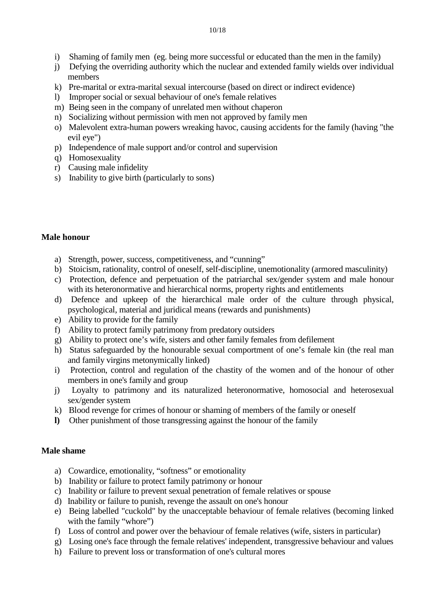- i) Shaming of family men (eg. being more successful or educated than the men in the family)
- j) Defying the overriding authority which the nuclear and extended family wields over individual members
- k) Pre-marital or extra-marital sexual intercourse (based on direct or indirect evidence)
- l) Improper social or sexual behaviour of one's female relatives
- m) Being seen in the company of unrelated men without chaperon
- n) Socializing without permission with men not approved by family men
- o) Malevolent extra-human powers wreaking havoc, causing accidents for the family (having "the evil eye")
- p) Independence of male support and/or control and supervision
- q) Homosexuality
- r) Causing male infidelity
- s) Inability to give birth (particularly to sons)

## **Male honour**

- a) Strength, power, success, competitiveness, and "cunning"
- b) Stoicism, rationality, control of oneself, self-discipline, unemotionality (armored masculinity)
- c) Protection, defence and perpetuation of the patriarchal sex/gender system and male honour with its heteronormative and hierarchical norms, property rights and entitlements
- d) Defence and upkeep of the hierarchical male order of the culture through physical, psychological, material and juridical means (rewards and punishments)
- e) Ability to provide for the family
- f) Ability to protect family patrimony from predatory outsiders
- g) Ability to protect one's wife, sisters and other family females from defilement
- h) Status safeguarded by the honourable sexual comportment of one's female kin (the real man and family virgins metonymically linked)
- i) Protection, control and regulation of the chastity of the women and of the honour of other members in one's family and group
- j) Loyalty to patrimony and its naturalized heteronormative, homosocial and heterosexual sex/gender system
- k) Blood revenge for crimes of honour or shaming of members of the family or oneself
- **l)** Other punishment of those transgressing against the honour of the family

### **Male shame**

- a) Cowardice, emotionality, "softness" or emotionality
- b) Inability or failure to protect family patrimony or honour
- c) Inability or failure to prevent sexual penetration of female relatives or spouse
- d) Inability or failure to punish, revenge the assault on one's honour
- e) Being labelled "cuckold" by the unacceptable behaviour of female relatives (becoming linked with the family "whore")
- f) Loss of control and power over the behaviour of female relatives (wife, sisters in particular)
- g) Losing one's face through the female relatives' independent, transgressive behaviour and values
- h) Failure to prevent loss or transformation of one's cultural mores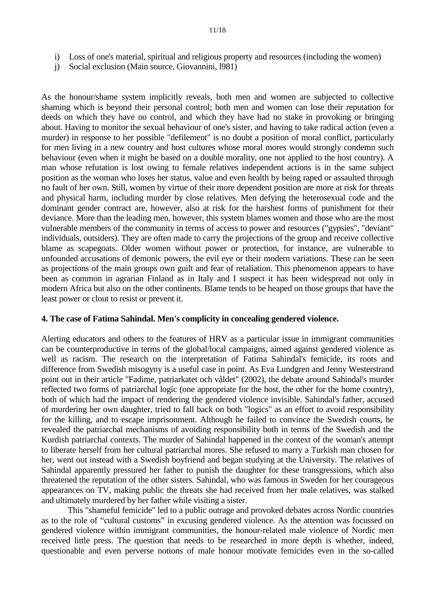- i) Loss of one's material, spiritual and religious property and resources (including the women)
- j) Social exclusion (Main source, Giovannini, l981)

As the honour/shame system implicitly reveals, both men and women are subjected to collective shaming which is beyond their personal control; both men and women can lose their reputation for deeds on which they have no control, and which they have had no stake in provoking or bringing about. Having to monitor the sexual behaviour of one's sister, and having to take radical action (even a murder) in response to her possible "defilement" is no doubt a position of moral conflict, particularly for men living in a new country and host cultures whose moral mores would strongly condemn such behaviour (even when it might be based on a double morality, one not applied to the host country). A man whose refutation is lost owing to female relatives independent actions is in the same subject position as the woman who loses her status, value and even health by being raped or assaulted through no fault of her own. Still, women by virtue of their more dependent position are more at risk for threats and physical harm, including murder by close relatives. Men defying the heterosexual code and the dominant gender contract are, however, also at risk for the harshest forms of punishment for their deviance. More than the leading men, however, this system blames women and those who are the most vulnerable members of the community in terms of access to power and resources ("gypsies", "deviant" individuals, outsiders). They are often made to carry the projections of the group and receive collective blame as scapegoats. Older women without power or protection, for instance, are vulnerable to unfounded accusations of demonic powers, the evil eye or their modern variations. These can be seen as projections of the main groups own guilt and fear of retaliation. This phenomenon appears to have been as common in agrarian Finland as in Italy and I suspect it has been widespread not only in modern Africa but also on the other continents. Blame tends to be heaped on those groups that have the least power or clout to resist or prevent it.

#### **4. The case of Fatima Sahindal. Men's complicity in concealing gendered violence.**

Alerting educators and others to the features of HRV as a particular issue in immigrant communities can be counterproductive in terms of the global/local campaigns, aimed against gendered violence as well as racism. The research on the interpretation of Fatima Sahindal's femicide, its roots and difference from Swedish misogyny is a useful case in point. As Eva Lundgren and Jenny Westerstrand point out in their article "Fadime, patriarkatet och våldet" (2002), the debate around Sahindal's murder reflected two forms of patriarchal logic (one appropriate for the host, the other for the home country), both of which had the impact of rendering the gendered violence invisible. Sahindal's father, accused of murdering her own daughter, tried to fall back on both "logics" as an effort to avoid responsibility for the killing, and to escape imprisonment. Although he failed to convince the Swedish courts, he revealed the patriarchal mechanisms of avoiding responsibility both in terms of the Swedish and the Kurdish patriarchal contexts. The murder of Sahindal happened in the context of the woman's attempt to liberate herself from her cultural patriarchal mores. She refused to marry a Turkish man chosen for her, went out instead with a Swedish boyfriend and began studying at the University. The relatives of Sahindal apparently pressured her father to punish the daughter for these transgressions, which also threatened the reputation of the other sisters. Sahindal, who was famous in Sweden for her courageous appearances on TV, making public the threats she had received from her male relatives, was stalked and ultimately murdered by her father while visiting a sister.

This "shameful femicide" led to a public outrage and provoked debates across Nordic countries as to the role of "cultural customs" in excusing gendered violence. As the attention was focussed on gendered violence within immigrant communities, the honour-related male violence of Nordic men received little press. The question that needs to be researched in more depth is whether, indeed, questionable and even perverse notions of male honour motivate femicides even in the so-called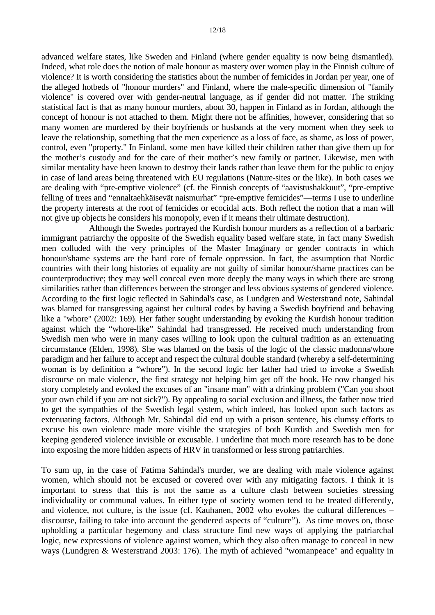advanced welfare states, like Sweden and Finland (where gender equality is now being dismantled). Indeed, what role does the notion of male honour as mastery over women play in the Finnish culture of violence? It is worth considering the statistics about the number of femicides in Jordan per year, one of the alleged hotbeds of "honour murders" and Finland, where the male-specific dimension of "family violence" is covered over with gender-neutral language, as if gender did not matter. The striking statistical fact is that as many honour murders, about 30, happen in Finland as in Jordan, although the concept of honour is not attached to them. Might there not be affinities, however, considering that so many women are murdered by their boyfriends or husbands at the very moment when they seek to leave the relationship, something that the men experience as a loss of face, as shame, as loss of power, control, even "property." In Finland, some men have killed their children rather than give them up for the mother's custody and for the care of their mother's new family or partner. Likewise, men with similar mentality have been known to destroy their lands rather than leave them for the public to enjoy in case of land areas being threatened with EU regulations (Nature-sites or the like). In both cases we are dealing with "pre-emptive violence" (cf. the Finnish concepts of "aavistushakkuut", "pre-emptive felling of trees and "ennaltaehkäisevät naismurhat" "pre-emptive femicides"—terms I use to underline the property interests at the root of femicides or ecocidal acts. Both reflect the notion that a man will not give up objects he considers his monopoly, even if it means their ultimate destruction).

 Although the Swedes portrayed the Kurdish honour murders as a reflection of a barbaric immigrant patriarchy the opposite of the Swedish equality based welfare state, in fact many Swedish men colluded with the very principles of the Master Imaginary or gender contracts in which honour/shame systems are the hard core of female oppression. In fact, the assumption that Nordic countries with their long histories of equality are not guilty of similar honour/shame practices can be counterproductive; they may well conceal even more deeply the many ways in which there are strong similarities rather than differences between the stronger and less obvious systems of gendered violence. According to the first logic reflected in Sahindal's case, as Lundgren and Westerstrand note, Sahindal was blamed for transgressing against her cultural codes by having a Swedish boyfriend and behaving like a "whore" (2002: 169). Her father sought understanding by evoking the Kurdish honour tradition against which the "whore-like" Sahindal had transgressed. He received much understanding from Swedish men who were in many cases willing to look upon the cultural tradition as an extenuating circumstance (Elden, 1998). She was blamed on the basis of the logic of the classic madonna/whore paradigm and her failure to accept and respect the cultural double standard (whereby a self-determining woman is by definition a "whore"). In the second logic her father had tried to invoke a Swedish discourse on male violence, the first strategy not helping him get off the hook. He now changed his story completely and evoked the excuses of an "insane man" with a drinking problem ("Can you shoot your own child if you are not sick?"). By appealing to social exclusion and illness, the father now tried to get the sympathies of the Swedish legal system, which indeed, has looked upon such factors as extenuating factors. Although Mr. Sahindal did end up with a prison sentence, his clumsy efforts to excuse his own violence made more visible the strategies of both Kurdish and Swedish men for keeping gendered violence invisible or excusable. I underline that much more research has to be done into exposing the more hidden aspects of HRV in transformed or less strong patriarchies.

To sum up, in the case of Fatima Sahindal's murder, we are dealing with male violence against women, which should not be excused or covered over with any mitigating factors. I think it is important to stress that this is not the same as a culture clash between societies stressing individuality or communal values. In either type of society women tend to be treated differently, and violence, not culture, is the issue (cf. Kauhanen, 2002 who evokes the cultural differences – discourse, failing to take into account the gendered aspects of "culture"). As time moves on, those upholding a particular hegemony and class structure find new ways of applying the patriarchal logic, new expressions of violence against women, which they also often manage to conceal in new ways (Lundgren & Westerstrand 2003: 176). The myth of achieved "womanpeace" and equality in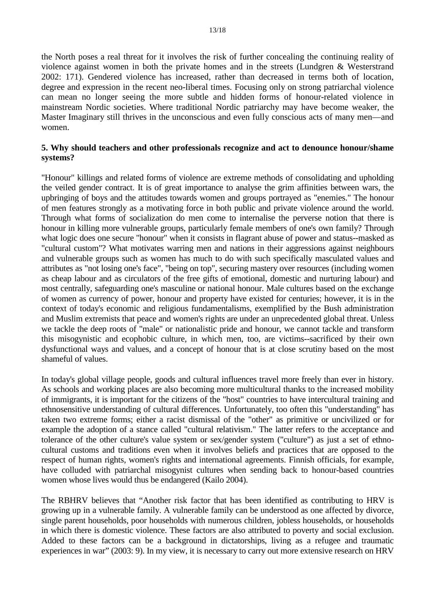the North poses a real threat for it involves the risk of further concealing the continuing reality of violence against women in both the private homes and in the streets (Lundgren & Westerstrand 2002: 171). Gendered violence has increased, rather than decreased in terms both of location, degree and expression in the recent neo-liberal times. Focusing only on strong patriarchal violence can mean no longer seeing the more subtle and hidden forms of honour-related violence in mainstream Nordic societies. Where traditional Nordic patriarchy may have become weaker, the Master Imaginary still thrives in the unconscious and even fully conscious acts of many men—and women.

### **5. Why should teachers and other professionals recognize and act to denounce honour/shame systems?**

"Honour" killings and related forms of violence are extreme methods of consolidating and upholding the veiled gender contract. It is of great importance to analyse the grim affinities between wars, the upbringing of boys and the attitudes towards women and groups portrayed as "enemies." The honour of men features strongly as a motivating force in both public and private violence around the world. Through what forms of socialization do men come to internalise the perverse notion that there is honour in killing more vulnerable groups, particularly female members of one's own family? Through what logic does one secure "honour" when it consists in flagrant abuse of power and status--masked as "cultural custom"? What motivates warring men and nations in their aggressions against neighbours and vulnerable groups such as women has much to do with such specifically masculated values and attributes as "not losing one's face", "being on top", securing mastery over resources (including women as cheap labour and as circulators of the free gifts of emotional, domestic and nurturing labour) and most centrally, safeguarding one's masculine or national honour. Male cultures based on the exchange of women as currency of power, honour and property have existed for centuries; however, it is in the context of today's economic and religious fundamentalisms, exemplified by the Bush administration and Muslim extremists that peace and women's rights are under an unprecedented global threat. Unless we tackle the deep roots of "male" or nationalistic pride and honour, we cannot tackle and transform this misogynistic and ecophobic culture, in which men, too, are victims--sacrificed by their own dysfunctional ways and values, and a concept of honour that is at close scrutiny based on the most shameful of values.

In today's global village people, goods and cultural influences travel more freely than ever in history. As schools and working places are also becoming more multicultural thanks to the increased mobility of immigrants, it is important for the citizens of the "host" countries to have intercultural training and ethnosensitive understanding of cultural differences. Unfortunately, too often this "understanding" has taken two extreme forms; either a racist dismissal of the "other" as primitive or uncivilized or for example the adoption of a stance called "cultural relativism." The latter refers to the acceptance and tolerance of the other culture's value system or sex/gender system ("culture") as just a set of ethnocultural customs and traditions even when it involves beliefs and practices that are opposed to the respect of human rights, women's rights and international agreements. Finnish officials, for example, have colluded with patriarchal misogynist cultures when sending back to honour-based countries women whose lives would thus be endangered (Kailo 2004).

The RBHRV believes that "Another risk factor that has been identified as contributing to HRV is growing up in a vulnerable family. A vulnerable family can be understood as one affected by divorce, single parent households, poor households with numerous children, jobless households, or households in which there is domestic violence. These factors are also attributed to poverty and social exclusion. Added to these factors can be a background in dictatorships, living as a refugee and traumatic experiences in war" (2003: 9). In my view, it is necessary to carry out more extensive research on HRV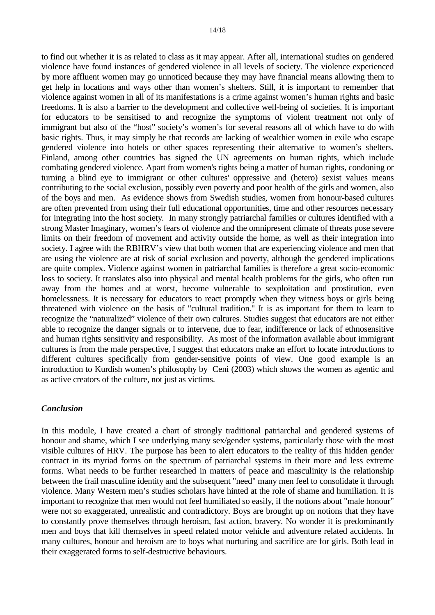to find out whether it is as related to class as it may appear. After all, international studies on gendered violence have found instances of gendered violence in all levels of society. The violence experienced by more affluent women may go unnoticed because they may have financial means allowing them to get help in locations and ways other than women's shelters. Still, it is important to remember that violence against women in all of its manifestations is a crime against women's human rights and basic freedoms. It is also a barrier to the development and collective well-being of societies. It is important for educators to be sensitised to and recognize the symptoms of violent treatment not only of immigrant but also of the "host" society's women's for several reasons all of which have to do with basic rights. Thus, it may simply be that records are lacking of wealthier women in exile who escape gendered violence into hotels or other spaces representing their alternative to women's shelters. Finland, among other countries has signed the UN agreements on human rights, which include combating gendered violence. Apart from women's rights being a matter of human rights, condoning or turning a blind eye to immigrant or other cultures' oppressive and (hetero) sexist values means contributing to the social exclusion, possibly even poverty and poor health of the girls and women, also of the boys and men. As evidence shows from Swedish studies, women from honour-based cultures are often prevented from using their full educational opportunities, time and other resources necessary for integrating into the host society*.* In many strongly patriarchal families or cultures identified with a strong Master Imaginary, women's fears of violence and the omnipresent climate of threats pose severe limits on their freedom of movement and activity outside the home, as well as their integration into society. I agree with the RBHRV's view that both women that are experiencing violence and men that are using the violence are at risk of social exclusion and poverty, although the gendered implications are quite complex. Violence against women in patriarchal families is therefore a great socio-economic loss to society. It translates also into physical and mental health problems for the girls, who often run away from the homes and at worst, become vulnerable to sexploitation and prostitution, even homelessness. It is necessary for educators to react promptly when they witness boys or girls being threatened with violence on the basis of "cultural tradition." It is as important for them to learn to recognize the "naturalized" violence of their own cultures. Studies suggest that educators are not either able to recognize the danger signals or to intervene, due to fear, indifference or lack of ethnosensitive and human rights sensitivity and responsibility. As most of the information available about immigrant cultures is from the male perspective, I suggest that educators make an effort to locate introductions to different cultures specifically from gender-sensitive points of view. One good example is an introduction to Kurdish women's philosophy by Ceni (2003) which shows the women as agentic and as active creators of the culture, not just as victims.

#### *Conclusion*

In this module, I have created a chart of strongly traditional patriarchal and gendered systems of honour and shame, which I see underlying many sex/gender systems, particularly those with the most visible cultures of HRV. The purpose has been to alert educators to the reality of this hidden gender contract in its myriad forms on the spectrum of patriarchal systems in their more and less extreme forms. What needs to be further researched in matters of peace and masculinity is the relationship between the frail masculine identity and the subsequent "need" many men feel to consolidate it through violence. Many Western men's studies scholars have hinted at the role of shame and humiliation. It is important to recognize that men would not feel humiliated so easily, if the notions about "male honour" were not so exaggerated, unrealistic and contradictory. Boys are brought up on notions that they have to constantly prove themselves through heroism, fast action, bravery. No wonder it is predominantly men and boys that kill themselves in speed related motor vehicle and adventure related accidents. In many cultures, honour and heroism are to boys what nurturing and sacrifice are for girls. Both lead in their exaggerated forms to self-destructive behaviours.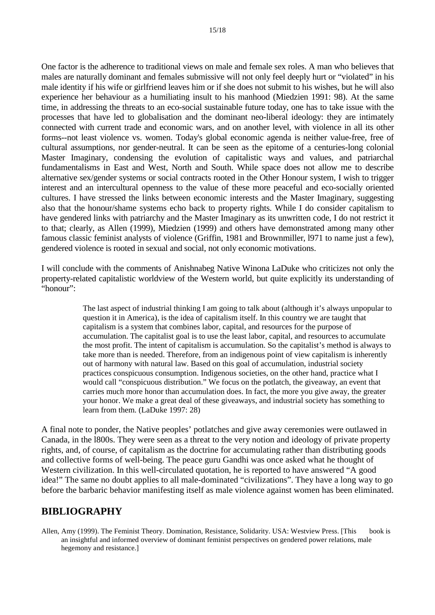One factor is the adherence to traditional views on male and female sex roles. A man who believes that males are naturally dominant and females submissive will not only feel deeply hurt or "violated" in his male identity if his wife or girlfriend leaves him or if she does not submit to his wishes, but he will also experience her behaviour as a humiliating insult to his manhood (Miedzien 1991: 98). At the same time, in addressing the threats to an eco-social sustainable future today, one has to take issue with the processes that have led to globalisation and the dominant neo-liberal ideology: they are intimately connected with current trade and economic wars, and on another level, with violence in all its other forms--not least violence vs. women. Today's global economic agenda is neither value-free, free of cultural assumptions, nor gender-neutral. It can be seen as the epitome of a centuries-long colonial Master Imaginary, condensing the evolution of capitalistic ways and values, and patriarchal fundamentalisms in East and West, North and South. While space does not allow me to describe alternative sex/gender systems or social contracts rooted in the Other Honour system, I wish to trigger interest and an intercultural openness to the value of these more peaceful and eco-socially oriented cultures. I have stressed the links between economic interests and the Master Imaginary, suggesting also that the honour/shame systems echo back to property rights. While I do consider capitalism to have gendered links with patriarchy and the Master Imaginary as its unwritten code, I do not restrict it to that; clearly, as Allen (1999), Miedzien (1999) and others have demonstrated among many other famous classic feminist analysts of violence (Griffin, 1981 and Brownmiller, l971 to name just a few), gendered violence is rooted in sexual and social, not only economic motivations.

I will conclude with the comments of Anishnabeg Native Winona LaDuke who criticizes not only the property-related capitalistic worldview of the Western world, but quite explicitly its understanding of "honour":

> The last aspect of industrial thinking I am going to talk about (although it's always unpopular to question it in America), is the idea of capitalism itself. In this country we are taught that capitalism is a system that combines labor, capital, and resources for the purpose of accumulation. The capitalist goal is to use the least labor, capital, and resources to accumulate the most profit. The intent of capitalism is accumulation. So the capitalist's method is always to take more than is needed. Therefore, from an indigenous point of view capitalism is inherently out of harmony with natural law. Based on this goal of accumulation, industrial society practices conspicuous consumption. Indigenous societies, on the other hand, practice what I would call "conspicuous distribution." We focus on the potlatch, the giveaway, an event that carries much more honor than accumulation does. In fact, the more you give away, the greater your honor. We make a great deal of these giveaways, and industrial society has something to learn from them. (LaDuke 1997: 28)

A final note to ponder, the Native peoples' potlatches and give away ceremonies were outlawed in Canada, in the l800s. They were seen as a threat to the very notion and ideology of private property rights, and, of course, of capitalism as the doctrine for accumulating rather than distributing goods and collective forms of well-being. The peace guru Gandhi was once asked what he thought of Western civilization. In this well-circulated quotation, he is reported to have answered "A good idea!" The same no doubt applies to all male-dominated "civilizations". They have a long way to go before the barbaric behavior manifesting itself as male violence against women has been eliminated.

# **BIBLIOGRAPHY**

Allen, Amy (1999). The Feminist Theory. Domination, Resistance, Solidarity. USA: Westview Press. [This book is an insightful and informed overview of dominant feminist perspectives on gendered power relations, male hegemony and resistance.]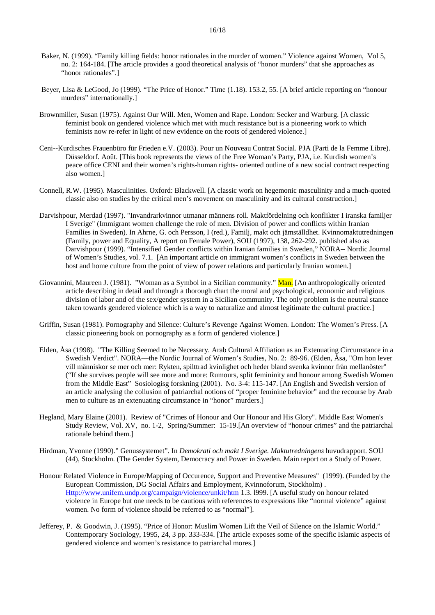- Baker, N. (1999). "Family killing fields: honor rationales in the murder of women." Violence against Women, Vol 5, no. 2: 164-184. [The article provides a good theoretical analysis of "honor murders" that she approaches as "honor rationales".]
- Beyer, Lisa & LeGood, Jo (1999). "The Price of Honor." Time (1.18). 153.2, 55. [A brief article reporting on "honour murders" internationally.]
- Brownmiller, Susan (1975). Against Our Will. Men, Women and Rape. London: Secker and Warburg. [A classic feminist book on gendered violence which met with much resistance but is a pioneering work to which feminists now re-refer in light of new evidence on the roots of gendered violence.]
- Ceni--Kurdisches Frauenbüro für Frieden e.V. (2003). Pour un Nouveau Contrat Social. PJA (Parti de la Femme Libre). Düsseldorf. Août. [This book represents the views of the Free Woman's Party, PJA, i.e. Kurdish women's peace office CENI and their women's rights-human rights- oriented outline of a new social contract respecting also women.]
- Connell, R.W. (1995). Masculinities. Oxford: Blackwell. [A classic work on hegemonic masculinity and a much-quoted classic also on studies by the critical men's movement on masculinity and its cultural construction.]
- Darvishpour, Merdad (1997). "Invandrarkvinnor utmanar männens roll. Maktfördelning och konflikter I iranska familjer I Sverige" (Immigrant women challenge the role of men. Division of power and conflicts within Iranian Families in Sweden). In Ahrne, G. och Persson, I (red.), Familj, makt och jämställdhet. Kvinnomaktutredningen (Family, power and Equality, A report on Female Power), SOU (1997), 138, 262-292. published also as Darvishpour (1999). "Intensified Gender conflicts within Iranian families in Sweden," NORA-- Nordic Journal of Women's Studies, vol. 7.1. [An important article on immigrant women's conflicts in Sweden between the host and home culture from the point of view of power relations and particularly Iranian women.]
- Giovannini, Maureen J. (1981). "Woman as a Symbol in a Sicilian community." Man. [An anthropologically oriented article describing in detail and through a thorough chart the moral and psychological, economic and religious division of labor and of the sex/gender system in a Sicilian community. The only problem is the neutral stance taken towards gendered violence which is a way to naturalize and almost legitimate the cultural practice.]
- Griffin, Susan (1981). Pornography and Silence: Culture's Revenge Against Women. London: The Women's Press. [A classic pioneering book on pornography as a form of gendered violence.]
- Elden, Åsa (1998). "The Killing Seemed to be Necessary. Arab Cultural Affiliation as an Extenuating Circumstance in a Swedish Verdict". NORA—the Nordic Journal of Women's Studies, No. 2: 89-96. (Elden, Åsa, "Om hon lever vill människor se mer och mer: Rykten, spilttrad kvinlighet och heder bland svenka kvinnor från mellanöster" ("If she survives people will see more and more: Rumours, split femininity and honour among Swedish Women from the Middle East" Sosiologisg forskning (2001). No. 3-4: 115-147. [An English and Swedish version of an article analysing the collusion of patriarchal notions of "proper feminine behavior" and the recourse by Arab men to culture as an extenuating circumstance in "honor" murders.]
- Hegland, Mary Elaine (2001). Review of "Crimes of Honour and Our Honour and His Glory". Middle East Women's Study Review, Vol. XV, no. 1-2, Spring/Summer: 15-19.[An overview of "honour crimes" and the patriarchal rationale behind them.]
- Hirdman, Yvonne (1990)." Genussystemet". In *Demokrati och makt I Sverige. Maktutredningens* huvudrapport. SOU (44), Stockholm. (The Gender System, Democracy and Power in Sweden. Main report on a Study of Power.
- Honour Related Violence in Europe/Mapping of Occurence, Support and Preventive Measures" (1999). (Funded by the European Commission, DG Social Affairs and Employment, Kvinnoforum, Stockholm) . Http://www.unifem.undp.org/campaign/violence/unkit/htm 1.3. l999. [A useful study on honour related violence in Europe but one needs to be cautious with references to expressions like "normal violence" against women. No form of violence should be referred to as "normal"].
- Jefferey, P. & Goodwin, J. (1995). "Price of Honor: Muslim Women Lift the Veil of Silence on the Islamic World." Contemporary Sociology, 1995, 24, 3 pp. 333-334. [The article exposes some of the specific Islamic aspects of gendered violence and women's resistance to patriarchal mores.]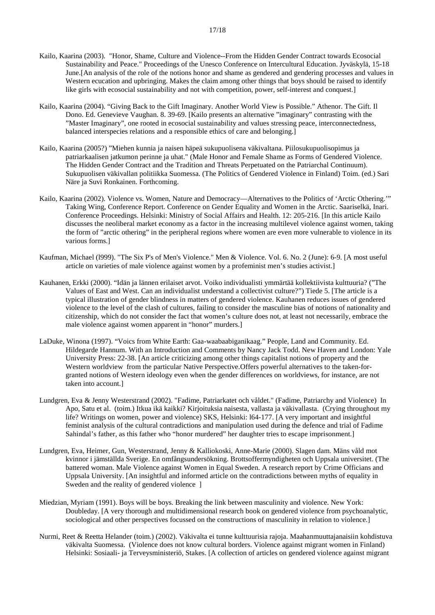- Kailo, Kaarina (2003). "Honor, Shame, Culture and Violence--From the Hidden Gender Contract towards Ecosocial Sustainability and Peace." Proceedings of the Unesco Conference on Intercultural Education. Jyväskylä, 15-18 June.[An analysis of the role of the notions honor and shame as gendered and gendering processes and values in Western ecucation and upbringing. Makes the claim among other things that boys should be raised to identify like girls with ecosocial sustainability and not with competition, power, self-interest and conquest.]
- Kailo, Kaarina (2004). "Giving Back to the Gift Imaginary. Another World View is Possible." Athenor. The Gift. Il Dono. Ed. Genevieve Vaughan. 8. 39-69. [Kailo presents an alternative "imaginary" contrasting with the "Master Imaginary", one rooted in ecosocial sustainability and values stressing peace, interconnectedness, balanced interspecies relations and a responsible ethics of care and belonging.]
- Kailo, Kaarina (2005?) "Miehen kunnia ja naisen häpeä sukupuolisena väkivaltana. Piilosukupuolisopimus ja patriarkaalisen jatkumon perinne ja uhat." (Male Honor and Female Shame as Forms of Gendered Violence. The Hidden Gender Contract and the Tradition and Threats Perpetuated on the Patriarchal Continuum). Sukupuolisen väkivallan politiikka Suomessa. (The Politics of Gendered Violence in Finland) Toim. (ed.) Sari Näre ja Suvi Ronkainen. Forthcoming.
- Kailo, Kaarina (2002). Violence vs. Women, Nature and Democracy—Alternatives to the Politics of 'Arctic Othering.'" Taking Wing, Conference Report. Conference on Gender Equality and Women in the Arctic. Saariselkä, Inari. Conference Proceedings. Helsinki: Ministry of Social Affairs and Health. 12: 205-216. [In this article Kailo discusses the neoliberal market economy as a factor in the increasing multilevel violence against women, taking the form of "arctic othering" in the peripheral regions where women are even more vulnerable to violence in its various forms.]
- Kaufman, Michael (l999). "The Six P's of Men's Violence." Men & Violence. Vol. 6. No. 2 (June): 6-9. [A most useful article on varieties of male violence against women by a profeminist men's studies activist.]
- Kauhanen, Erkki (2000). "Idän ja lännen erilaiset arvot. Voiko individualisti ymmärtää kollektiivista kulttuuria? ("The Values of East and West. Can an individualist understand a collectivist culture?") Tiede 5. [The article is a typical illustration of gender blindness in matters of gendered violence. Kauhanen reduces issues of gendered violence to the level of the clash of cultures, failing to consider the masculine bias of notions of nationality and citizenship, which do not consider the fact that women's culture does not, at least not necessarily, embrace the male violence against women apparent in "honor" murders.]
- LaDuke, Winona (1997). "Voics from White Earth: Gaa-waabaabiganikaag." People, Land and Community. Ed. Hildegarde Hannum. With an Introduction and Comments by Nancy Jack Todd. New Haven and London: Yale University Press: 22-38. [An article criticizing among other things capitalist notions of property and the Western worldview from the particular Native Perspective.Offers powerful alternatives to the taken-forgranted notions of Western ideology even when the gender differences on worldviews, for instance, are not taken into account.]
- Lundgren, Eva & Jenny Westerstrand (2002). "Fadime, Patriarkatet och våldet." (Fadime, Patriarchy and Violence) In Apo, Satu et al. (toim.) Itkua ikä kaikki? Kirjoituksia naisesta, vallasta ja väkivallasta. (Crying throughout my life? Writings on women, power and violence) SKS, Helsinki: l64-177. [A very important and insightful feminist analysis of the cultural contradictions and manipulation used during the defence and trial of Fadime Sahindal's father, as this father who "honor murdered" her daughter tries to escape imprisonment.]
- Lundgren, Eva, Heimer, Gun, Westerstrand, Jenny & Kalliokoski, Anne-Marie (2000). Slagen dam. Mäns våld mot kvinnor i jämställda Sverige. En omfångsundersökning. Brottsoffermyndigheten och Uppsala universitet. (The battered woman. Male Violence against Women in Equal Sweden. A research report by Crime Officians and Uppsala University. [An insightful and informed article on the contradictions between myths of equality in Sweden and the reality of gendered violence  $\parallel$
- Miedzian, Myriam (1991). Boys will be boys. Breaking the link between masculinity and violence. New York: Doubleday. [A very thorough and multidimensional research book on gendered violence from psychoanalytic, sociological and other perspectives focussed on the constructions of masculinity in relation to violence.]
- Nurmi, Reet & Reetta Helander (toim.) (2002). Väkivalta ei tunne kulttuurisia rajoja. Maahanmuuttajanaisiin kohdistuva väkivalta Suomessa. (Violence does not know cultural borders. Violence against migrant women in Finland) Helsinki: Sosiaali- ja Terveysministeriö, Stakes. [A collection of articles on gendered violence against migrant